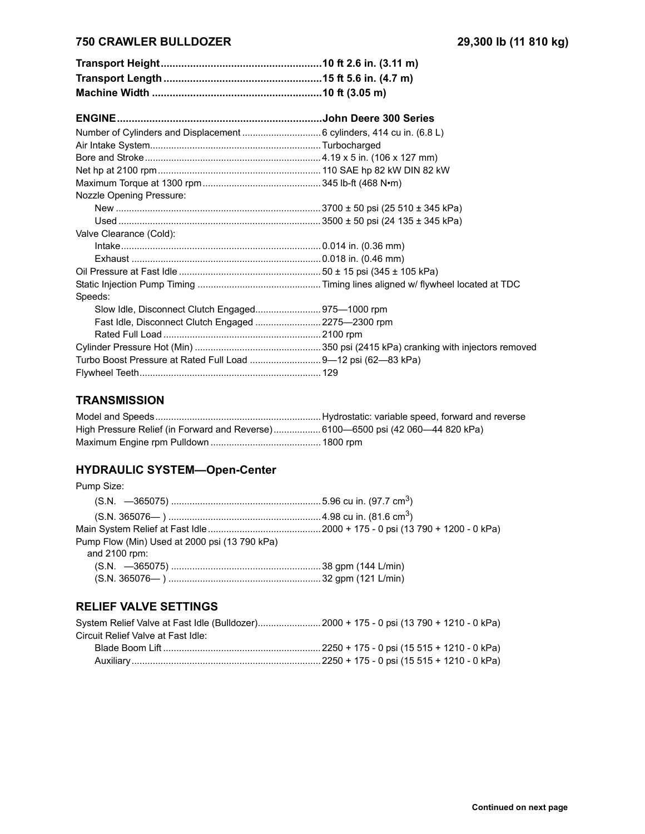## **750 CRAWLER BULLDOZER 29,300 lb (11 810 kg)**

| Nozzle Opening Pressure:                                     |  |
|--------------------------------------------------------------|--|
|                                                              |  |
|                                                              |  |
| Valve Clearance (Cold):                                      |  |
|                                                              |  |
|                                                              |  |
|                                                              |  |
|                                                              |  |
| Speeds:                                                      |  |
|                                                              |  |
| Fast Idle, Disconnect Clutch Engaged 2275—2300 rpm           |  |
|                                                              |  |
|                                                              |  |
| Turbo Boost Pressure at Rated Full Load 9-12 psi (62-83 kPa) |  |
|                                                              |  |

## **TRANSMISSION**

# **HYDRAULIC SYSTEM-Open-Center**

| Pump Size:                                    |  |
|-----------------------------------------------|--|
|                                               |  |
|                                               |  |
|                                               |  |
| Pump Flow (Min) Used at 2000 psi (13 790 kPa) |  |
| and $2100$ rpm:                               |  |
|                                               |  |
|                                               |  |
|                                               |  |

#### **RELIEF VALVE SETTINGS**

|                                    | System Relief Valve at Fast Idle (Bulldozer)2000 + 175 - 0 psi (13 790 + 1210 - 0 kPa) |
|------------------------------------|----------------------------------------------------------------------------------------|
| Circuit Relief Valve at Fast Idle: |                                                                                        |
|                                    |                                                                                        |
|                                    |                                                                                        |